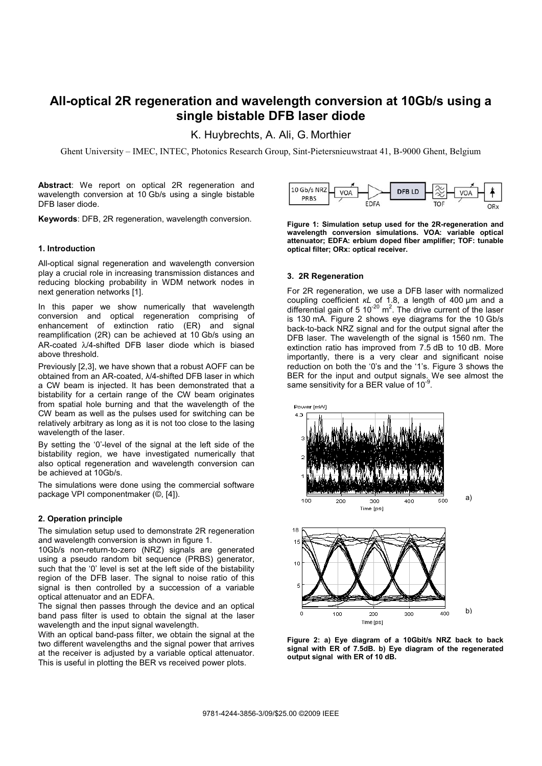# **All-optical 2R regeneration and wavelength conversion at 10Gb/s using a single bistable DFB laser diode**

K. Huybrechts, A. Ali, G. Morthier

Ghent University – IMEC, INTEC, Photonics Research Group, Sint-Pietersnieuwstraat 41, B-9000 Ghent, Belgium

**Abstract**: We report on optical 2R regeneration and wavelength conversion at 10 Gb/s using a single bistable DFB laser diode.

**Keywords**: DFB, 2R regeneration, wavelength conversion.

# **1. Introduction**

All-optical signal regeneration and wavelength conversion play a crucial role in increasing transmission distances and reducing blocking probability in WDM network nodes in next generation networks [1].

In this paper we show numerically that wavelength conversion and optical regeneration comprising of enhancement of extinction ratio (ER) and signal reamplification (2R) can be achieved at 10 Gb/s using an AR-coated λ/4-shifted DFB laser diode which is biased above threshold.

Previously [2,3], we have shown that a robust AOFF can be obtained from an AR-coated,  $\lambda$ /4-shifted DFB laser in which a CW beam is injected. It has been demonstrated that a bistability for a certain range of the CW beam originates from spatial hole burning and that the wavelength of the CW beam as well as the pulses used for switching can be relatively arbitrary as long as it is not too close to the lasing wavelength of the laser.

By setting the '0'-level of the signal at the left side of the bistability region, we have investigated numerically that also optical regeneration and wavelength conversion can be achieved at 10Gb/s.

The simulations were done using the commercial software package VPI componentmaker (©, [4]).

### **2. Operation principle**

The simulation setup used to demonstrate 2R regeneration and wavelength conversion is shown in figure 1.

10Gb/s non-return-to-zero (NRZ) signals are generated using a pseudo random bit sequence (PRBS) generator, such that the '0' level is set at the left side of the bistability region of the DFB laser. The signal to noise ratio of this signal is then controlled by a succession of a variable optical attenuator and an EDFA.

The signal then passes through the device and an optical band pass filter is used to obtain the signal at the laser wavelength and the input signal wavelength.

With an optical band-pass filter, we obtain the signal at the two different wavelengths and the signal power that arrives at the receiver is adjusted by a variable optical attenuator. This is useful in plotting the BER vs received power plots.



**Figure 1: Simulation setup used for the 2R-regeneration and wavelength conversion simulations. VOA: variable optical attenuator; EDFA: erbium doped fiber amplifier; TOF: tunable optical filter; ORx: optical receiver.** 

# **3. 2R Regeneration**

For 2R regeneration, we use a DFB laser with normalized coupling coefficient *KL* of 1.8, a length of 400 µm and a differential gain of 5  $10^{-20}$  m<sup>2</sup>. The drive current of the laser is 130 mA. Figure 2 shows eye diagrams for the 10 Gb/s back-to-back NRZ signal and for the output signal after the DFB laser. The wavelength of the signal is 1560 nm. The extinction ratio has improved from 7.5 dB to 10 dB. More importantly, there is a very clear and significant noise reduction on both the '0's and the '1's. Figure 3 shows the BER for the input and output signals. We see almost the same sensitivity for a BER value of  $10^{-9}$ .



**Figure 2: a) Eye diagram of a 10Gbit/s NRZ back to back signal with ER of 7.5dB. b) Eye diagram of the regenerated output signal with ER of 10 dB.**